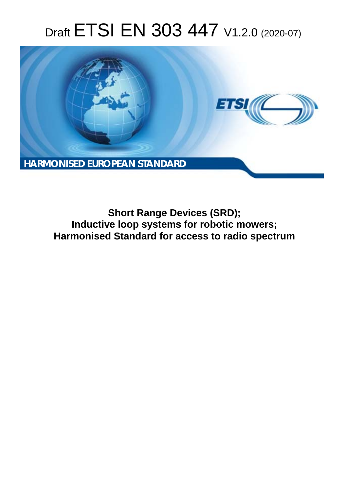# Draft ETSI EN 303 447 V1.2.0 (2020-07)



**Short Range Devices (SRD); Inductive loop systems for robotic mowers; Harmonised Standard for access to radio spectrum**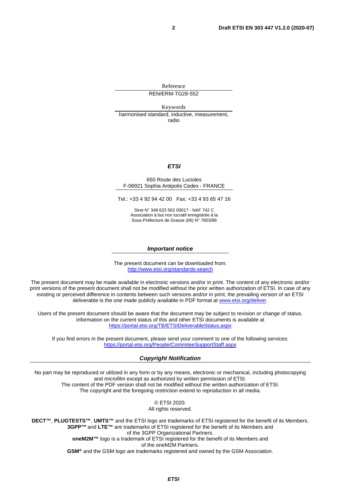Reference REN/ERM-TG28-552

Keywords harmonised standard, inductive, measurement, radio

#### *ETSI*

#### 650 Route des Lucioles F-06921 Sophia Antipolis Cedex - FRANCE

Tel.: +33 4 92 94 42 00 Fax: +33 4 93 65 47 16

Siret N° 348 623 562 00017 - NAF 742 C Association à but non lucratif enregistrée à la Sous-Préfecture de Grasse (06) N° 7803/88

#### *Important notice*

The present document can be downloaded from: <http://www.etsi.org/standards-search>

The present document may be made available in electronic versions and/or in print. The content of any electronic and/or print versions of the present document shall not be modified without the prior written authorization of ETSI. In case of any existing or perceived difference in contents between such versions and/or in print, the prevailing version of an ETSI deliverable is the one made publicly available in PDF format at [www.etsi.org/deliver](http://www.etsi.org/deliver).

Users of the present document should be aware that the document may be subject to revision or change of status. Information on the current status of this and other ETSI documents is available at <https://portal.etsi.org/TB/ETSIDeliverableStatus.aspx>

If you find errors in the present document, please send your comment to one of the following services: <https://portal.etsi.org/People/CommiteeSupportStaff.aspx>

#### *Copyright Notification*

No part may be reproduced or utilized in any form or by any means, electronic or mechanical, including photocopying and microfilm except as authorized by written permission of ETSI. The content of the PDF version shall not be modified without the written authorization of ETSI. The copyright and the foregoing restriction extend to reproduction in all media.

> © ETSI 2020. All rights reserved.

**DECT™**, **PLUGTESTS™**, **UMTS™** and the ETSI logo are trademarks of ETSI registered for the benefit of its Members. **3GPP™** and **LTE™** are trademarks of ETSI registered for the benefit of its Members and of the 3GPP Organizational Partners. **oneM2M™** logo is a trademark of ETSI registered for the benefit of its Members and of the oneM2M Partners. **GSM®** and the GSM logo are trademarks registered and owned by the GSM Association.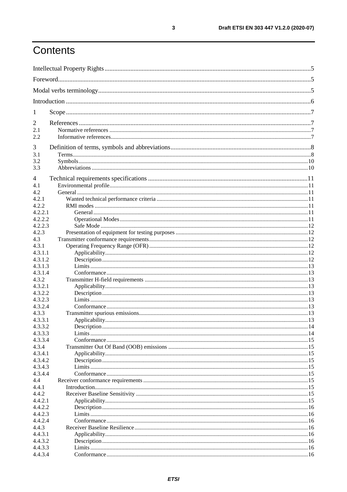## Contents

| 1                  |  |  |  |
|--------------------|--|--|--|
| 2                  |  |  |  |
| 2.1                |  |  |  |
| 2.2                |  |  |  |
| 3                  |  |  |  |
| 3.1<br>3.2         |  |  |  |
| 3.3                |  |  |  |
| 4                  |  |  |  |
| 4.1                |  |  |  |
| 4.2                |  |  |  |
| 4.2.1              |  |  |  |
| 4.2.2              |  |  |  |
| 4.2.2.1            |  |  |  |
| 4.2.2.2            |  |  |  |
| 4.2.2.3<br>4.2.3   |  |  |  |
| 4.3                |  |  |  |
| 4.3.1              |  |  |  |
| 4.3.1.1            |  |  |  |
| 4.3.1.2            |  |  |  |
| 4.3.1.3            |  |  |  |
| 4.3.1.4            |  |  |  |
| 4.3.2              |  |  |  |
| 4.3.2.1            |  |  |  |
| 4.3.2.2<br>4.3.2.3 |  |  |  |
| 4.3.2.4            |  |  |  |
| 4.3.3              |  |  |  |
| 4.3.3.1            |  |  |  |
| 4.3.3.2            |  |  |  |
| 4.3.3.3            |  |  |  |
| 4.3.3.4            |  |  |  |
| 4.3.4              |  |  |  |
| 4.3.4.1<br>4.3.4.2 |  |  |  |
| 4.3.4.3            |  |  |  |
| 4.3.4.4            |  |  |  |
| 4.4                |  |  |  |
| 4.4.1              |  |  |  |
| 4.4.2              |  |  |  |
| 4.4.2.1            |  |  |  |
| 4.4.2.2            |  |  |  |
| 4.4.2.3<br>4.4.2.4 |  |  |  |
| 4.4.3              |  |  |  |
| 4.4.3.1            |  |  |  |
| 4.4.3.2            |  |  |  |
| 4.4.3.3            |  |  |  |
| 4.4.3.4            |  |  |  |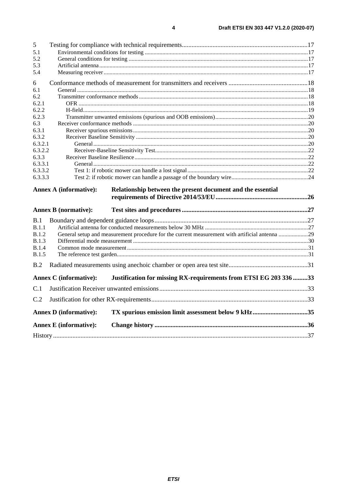|                    | <b>Annex E</b> (informative): |                                                                                                |  |
|--------------------|-------------------------------|------------------------------------------------------------------------------------------------|--|
|                    | <b>Annex D</b> (informative): | TX spurious emission limit assessment below 9 kHz35                                            |  |
| C.2                |                               |                                                                                                |  |
|                    |                               |                                                                                                |  |
| C.1                |                               |                                                                                                |  |
|                    | <b>Annex C</b> (informative): | Justification for missing RX-requirements from ETSI EG 203 336 33                              |  |
| B.2                |                               |                                                                                                |  |
| <b>B.1.5</b>       |                               |                                                                                                |  |
| <b>B.1.4</b>       |                               |                                                                                                |  |
| <b>B.1.3</b>       |                               |                                                                                                |  |
| <b>B.1.2</b>       |                               | General setup and measurement procedure for the current measurement with artificial antenna 29 |  |
| B.1<br>B.1.1       |                               |                                                                                                |  |
|                    |                               |                                                                                                |  |
|                    | <b>Annex B</b> (normative):   |                                                                                                |  |
|                    | <b>Annex A (informative):</b> | Relationship between the present document and the essential                                    |  |
|                    |                               |                                                                                                |  |
| 6.3.3.2<br>6.3.3.3 |                               |                                                                                                |  |
| 6.3.3.1            |                               |                                                                                                |  |
| 6.3.3              |                               |                                                                                                |  |
| 6.3.2.2            |                               |                                                                                                |  |
| 6.3.2.1            |                               |                                                                                                |  |
| 6.3.2              |                               |                                                                                                |  |
| 6.3<br>6.3.1       |                               |                                                                                                |  |
| 6.2.3              |                               |                                                                                                |  |
| 6.2.2              |                               |                                                                                                |  |
| 6.2.1              |                               |                                                                                                |  |
| 6.2                |                               |                                                                                                |  |
| 6.1                |                               |                                                                                                |  |
| 6                  |                               |                                                                                                |  |
| 5.4                |                               |                                                                                                |  |
| 5.3                |                               |                                                                                                |  |
| 5.1<br>5.2         |                               |                                                                                                |  |
| $\mathfrak{S}$     |                               |                                                                                                |  |
|                    |                               |                                                                                                |  |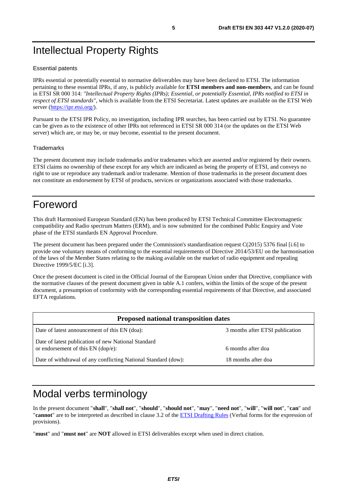## <span id="page-4-0"></span>Intellectual Property Rights

#### Essential patents

IPRs essential or potentially essential to normative deliverables may have been declared to ETSI. The information pertaining to these essential IPRs, if any, is publicly available for **ETSI members and non-members**, and can be found in ETSI SR 000 314: *"Intellectual Property Rights (IPRs); Essential, or potentially Essential, IPRs notified to ETSI in respect of ETSI standards"*, which is available from the ETSI Secretariat. Latest updates are available on the ETSI Web server ([https://ipr.etsi.org/\)](https://ipr.etsi.org/).

Pursuant to the ETSI IPR Policy, no investigation, including IPR searches, has been carried out by ETSI. No guarantee can be given as to the existence of other IPRs not referenced in ETSI SR 000 314 (or the updates on the ETSI Web server) which are, or may be, or may become, essential to the present document.

#### **Trademarks**

The present document may include trademarks and/or tradenames which are asserted and/or registered by their owners. ETSI claims no ownership of these except for any which are indicated as being the property of ETSI, and conveys no right to use or reproduce any trademark and/or tradename. Mention of those trademarks in the present document does not constitute an endorsement by ETSI of products, services or organizations associated with those trademarks.

## Foreword

This draft Harmonised European Standard (EN) has been produced by ETSI Technical Committee Electromagnetic compatibility and Radio spectrum Matters (ERM), and is now submitted for the combined Public Enquiry and Vote phase of the ETSI standards EN Approval Procedure.

The present document has been prepared under the Commission's standardisation request C(2015) 5376 final [\[i.6](#page-7-0)] to provide one voluntary means of conforming to the essential requirements of Directive 2014/53/EU on the harmonisation of the laws of the Member States relating to the making available on the market of radio equipment and repealing Directive 1999/5/EC [\[i.3\]](#page-7-0).

Once the present document is cited in the Official Journal of the European Union under that Directive, compliance with the normative clauses of the present document given in table A.1 confers, within the limits of the scope of the present document, a presumption of conformity with the corresponding essential requirements of that Directive, and associated EFTA regulations.

| <b>Proposed national transposition dates</b>                                                |                                 |  |
|---------------------------------------------------------------------------------------------|---------------------------------|--|
| Date of latest announcement of this EN (doa):                                               | 3 months after ETSI publication |  |
| Date of latest publication of new National Standard<br>or endorsement of this $EN$ (dop/e): | 6 months after doa              |  |
| Date of withdrawal of any conflicting National Standard (dow):                              | 18 months after doa             |  |

## Modal verbs terminology

In the present document "**shall**", "**shall not**", "**should**", "**should not**", "**may**", "**need not**", "**will**", "**will not**", "**can**" and "**cannot**" are to be interpreted as described in clause 3.2 of the [ETSI Drafting Rules](https://portal.etsi.org/Services/editHelp!/Howtostart/ETSIDraftingRules.aspx) (Verbal forms for the expression of provisions).

"**must**" and "**must not**" are **NOT** allowed in ETSI deliverables except when used in direct citation.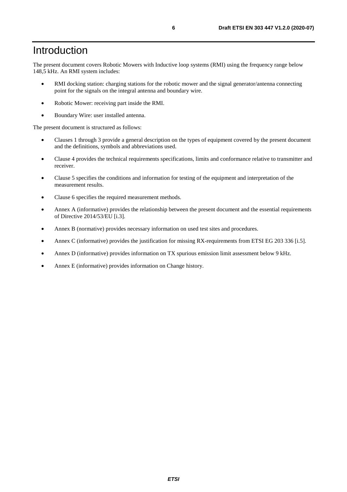## <span id="page-5-0"></span>Introduction

The present document covers Robotic Mowers with Inductive loop systems (RMI) using the frequency range below 148,5 kHz. An RMI system includes:

- RMI docking station: charging stations for the robotic mower and the signal generator/antenna connecting point for the signals on the integral antenna and boundary wire.
- Robotic Mower: receiving part inside the RMI.
- Boundary Wire: user installed antenna.

The present document is structured as follows:

- Clauses 1 through 3 provide a general description on the types of equipment covered by the present document and the definitions, symbols and abbreviations used.
- Clause 4 provides the technical requirements specifications, limits and conformance relative to transmitter and receiver.
- Clause 5 specifies the conditions and information for testing of the equipment and interpretation of the measurement results.
- Clause 6 specifies the required measurement methods.
- Annex A (informative) provides the relationship between the present document and the essential requirements of Directive 2014/53/EU [\[i.3](#page-7-0)].
- Annex B (normative) provides necessary information on used test sites and procedures.
- Annex C (informative) provides the justification for missing RX-requirements from ETSI EG 203 336 [[i.5](#page-7-0)].
- Annex D (informative) provides information on TX spurious emission limit assessment below 9 kHz.
- Annex E (informative) provides information on Change history.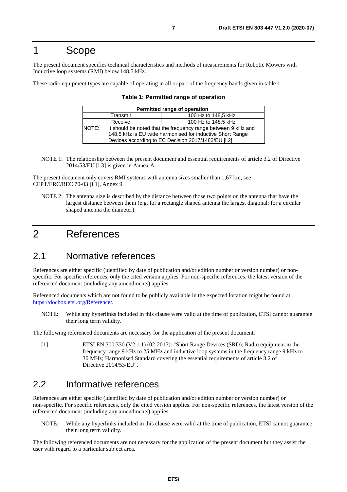## <span id="page-6-0"></span>1 Scope

The present document specifies technical characteristics and methods of measurements for Robotic Mowers with Inductive loop systems (RMI) below 148,5 kHz.

These radio equipment types are capable of operating in all or part of the frequency bands given in table 1.

| Permitted range of operation    |                                                                                                                                                                                    |  |  |
|---------------------------------|------------------------------------------------------------------------------------------------------------------------------------------------------------------------------------|--|--|
| 100 Hz to 148,5 kHz<br>Transmit |                                                                                                                                                                                    |  |  |
| Receive                         | 100 Hz to 148,5 kHz                                                                                                                                                                |  |  |
| NOTE:                           | It should be noted that the frequency range between 9 kHz and<br>148,5 kHz is EU wide harmonised for inductive Short Range<br>Devices according to EC Decision 2017/1483/EU [i.2]. |  |  |

| Table 1: Permitted range of operation |  |
|---------------------------------------|--|
|---------------------------------------|--|

NOTE 1: The relationship between the present document and essential requirements of article 3.2 of Directive 2014/53/EU [\[i.3](#page-7-0)] is given in Annex A.

The present document only covers RMI systems with antenna sizes smaller than 1,67 km, see CEPT/ERC/REC 70-03 [\[i.1](#page-7-0)], Annex 9.

NOTE 2: The antenna size is described by the distance between those two points on the antenna that have the largest distance between them (e.g. for a rectangle shaped antenna the largest diagonal; for a circular shaped antenna the diameter).

## 2 References

## 2.1 Normative references

References are either specific (identified by date of publication and/or edition number or version number) or nonspecific. For specific references, only the cited version applies. For non-specific references, the latest version of the referenced document (including any amendments) applies.

Referenced documents which are not found to be publicly available in the expected location might be found at <https://docbox.etsi.org/Reference/>.

NOTE: While any hyperlinks included in this clause were valid at the time of publication, ETSI cannot guarantee their long term validity.

The following referenced documents are necessary for the application of the present document.

[1] ETSI EN 300 330 (V2.1.1) (02-2017): "Short Range Devices (SRD); Radio equipment in the frequency range 9 kHz to 25 MHz and inductive loop systems in the frequency range 9 kHz to 30 MHz; Harmonised Standard covering the essential requirements of article 3.2 of Directive 2014/53/EU".

## 2.2 Informative references

References are either specific (identified by date of publication and/or edition number or version number) or non-specific. For specific references, only the cited version applies. For non-specific references, the latest version of the referenced document (including any amendments) applies.

NOTE: While any hyperlinks included in this clause were valid at the time of publication, ETSI cannot guarantee their long term validity.

The following referenced documents are not necessary for the application of the present document but they assist the user with regard to a particular subject area.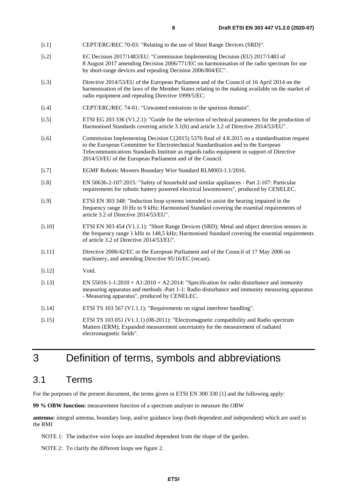- <span id="page-7-0"></span>[i.1] CEPT/ERC/REC 70-03: "Relating to the use of Short Range Devices (SRD)".
- [i.2] EC Decision 2017/1483/EU: "Commission Implementing Decision (EU) 2017/1483 of 8 August 2017 amending Decision 2006/771/EC on harmonisation of the radio spectrum for use by short-range devices and repealing Decision 2006/804/EC".
- [i.3] Directive 2014/53/EU of the European Parliament and of the Council of 16 April 2014 on the harmonisation of the laws of the Member States relating to the making available on the market of radio equipment and repealing Directive 1999/5/EC.
- [i.4] CEPT/ERC/REC 74-01: "Unwanted emissions in the spurious domain".
- [i.5] ETSI EG 203 336 (V1.2.1): "Guide for the selection of technical parameters for the production of Harmonised Standards covering article 3.1(b) and article 3.2 of Directive 2014/53/EU".
- [i.6] Commission Implementing Decision C(2015) 5376 final of 4.8.2015 on a standardisation request to the European Committee for Electrotechnical Standardisation and to the European Telecommunications Standards Institute as regards radio equipment in support of Directive 2014/53/EU of the European Parliament and of the Council.
- [i.7] EGMF Robotic Mowers Boundary Wire Standard RLM003-1.1/2016.
- [i.8] EN 50636-2-107:2015: "Safety of household and similar appliances Part 2-107: Particular requirements for robotic battery powered electrical lawnmowers", produced by CENELEC.
- [i.9] ETSI EN 303 348: "Induction loop systems intended to assist the hearing impaired in the frequency range 10 Hz to 9 kHz; Harmonised Standard covering the essential requirements of article 3.2 of Directive 2014/53/EU".
- [i.10] ETSI EN 303 454 (V1.1.1): "Short Range Devices (SRD); Metal and object detection sensors in the frequency range 1 kHz to 148,5 kHz; Harmonised Standard covering the essential requirements of article 3.2 of Directive 2014/53/EU".
- [i.11] Directive 2006/42/EC or the European Parliament and of the Council of 17 May 2006 on machinery, and amending Directive 95/16/EC (recast).
- [i.12] Void.
- [i.13] EN 55016-1-1:2010 + A1:2010 + A2:2014: "Specification for radio disturbance and immunity measuring apparatus and methods -Part 1-1: Radio disturbance and immunity measuring apparatus - Measuring apparatus", produced by CENELEC.
- [i.14] ETSI TS 103 567 (V1.1.1): "Requirements on signal interferer handling".
- [i.15] ETSI TS 103 051 (V1.1.1) (08-2011): "Electromagnetic compatibility and Radio spectrum Matters (ERM); Expanded measurement uncertainty for the measurement of radiated electromagnetic fields".

## 3 Definition of terms, symbols and abbreviations

## 3.1 Terms

For the purposes of the present document, the terms given in ETSI EN 300 330 [\[1](#page-6-0)] and the following apply:

**99 % OBW function:** measurement function of a spectrum analyser to measure the OBW

**antenna:** integral antenna, boundary loop, and/or guidance loop (both dependent and independent) which are used in the RMI

NOTE 1: The inductive wire loops are installed dependent from the shape of the garden.

NOTE 2: To clarify the different loops see figure 2.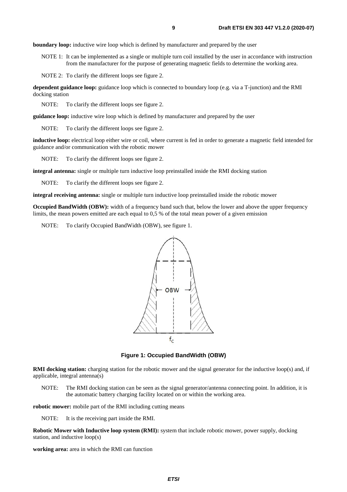**boundary loop:** inductive wire loop which is defined by manufacturer and prepared by the user

NOTE 1: It can be implemented as a single or multiple turn coil installed by the user in accordance with instruction from the manufacturer for the purpose of generating magnetic fields to determine the working area.

NOTE 2: To clarify the different loops see figure 2.

**dependent guidance loop:** guidance loop which is connected to boundary loop (e.g. via a T-junction) and the RMI docking station

NOTE: To clarify the different loops see figure 2.

**guidance loop:** inductive wire loop which is defined by manufacturer and prepared by the user

NOTE: To clarify the different loops see figure 2.

**inductive loop:** electrical loop either wire or coil, where current is fed in order to generate a magnetic field intended for guidance and/or communication with the robotic mower

NOTE: To clarify the different loops see figure 2.

**integral antenna:** single or multiple turn inductive loop preinstalled inside the RMI docking station

NOTE: To clarify the different loops see figure 2.

**integral receiving antenna:** single or multiple turn inductive loop preinstalled inside the robotic mower

**Occupied BandWidth (OBW):** width of a frequency band such that, below the lower and above the upper frequency limits, the mean powers emitted are each equal to 0,5 % of the total mean power of a given emission

NOTE: To clarify Occupied BandWidth (OBW), see figure 1.



**Figure 1: Occupied BandWidth (OBW)** 

**RMI docking station:** charging station for the robotic mower and the signal generator for the inductive loop(s) and, if applicable, integral antenna(s)

NOTE: The RMI docking station can be seen as the signal generator/antenna connecting point. In addition, it is the automatic battery charging facility located on or within the working area.

**robotic mower:** mobile part of the RMI including cutting means

NOTE: It is the receiving part inside the RMI.

**Robotic Mower with Inductive loop system (RMI):** system that include robotic mower, power supply, docking station, and inductive loop(s)

**working area:** area in which the RMI can function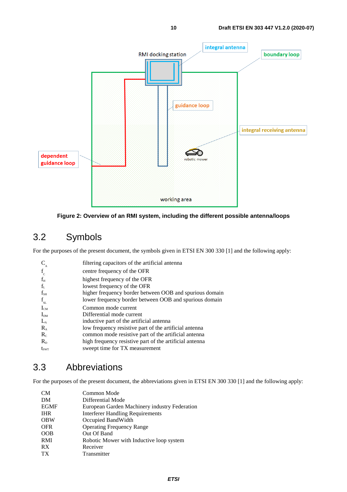<span id="page-9-0"></span>



## 3.2 Symbols

For the purposes of the present document, the symbols given in ETSI EN 300 330 [\[1\]](#page-6-0) and the following apply:

| $C_{\rm _A}$     | filtering capacitors of the artificial antenna          |
|------------------|---------------------------------------------------------|
| $f_c$            | centre frequency of the OFR                             |
| $f_{\rm H}$      | highest frequency of the OFR                            |
| f <sub>L</sub>   | lowest frequency of the OFR                             |
| $f_{\rm SH}$     | higher frequency border between OOB and spurious domain |
| $f_{\rm SL}$     | lower frequency border between OOB and spurious domain  |
| $I_{CM}$         | Common mode current                                     |
| $I_{DM}$         | Differential mode current                               |
| $L_{A}$          | inductive part of the artificial antenna                |
| $R_{A}$          | low frequency resistive part of the artificial antenna  |
| $R_{c}$          | common mode resistive part of the artificial antenna    |
| $R_{D}$          | high frequency resistive part of the artificial antenna |
| $t_{\text{SWT}}$ | sweept time for TX measurement                          |

## 3.3 Abbreviations

For the purposes of the present document, the abbreviations given in ETSI EN 300 330 [\[1](#page-6-0)] and the following apply:

| <b>CM</b>   | Common Mode                                   |
|-------------|-----------------------------------------------|
| DM          | Differential Mode                             |
| <b>EGMF</b> | European Garden Machinery industry Federation |
| <b>IHR</b>  | <b>Interferer Handling Requirements</b>       |
| <b>OBW</b>  | Occupied BandWidth                            |
| <b>OFR</b>  | <b>Operating Frequency Range</b>              |
| <b>OOB</b>  | Out Of Band                                   |
| <b>RMI</b>  | Robotic Mower with Inductive loop system      |
| <b>RX</b>   | Receiver                                      |
| <b>TX</b>   | Transmitter                                   |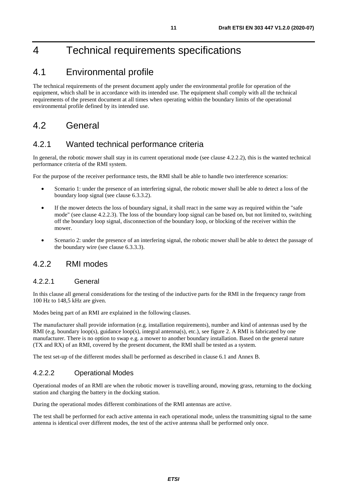## <span id="page-10-0"></span>4 Technical requirements specifications

## 4.1 Environmental profile

The technical requirements of the present document apply under the environmental profile for operation of the equipment, which shall be in accordance with its intended use. The equipment shall comply with all the technical requirements of the present document at all times when operating within the boundary limits of the operational environmental profile defined by its intended use.

## 4.2 General

## 4.2.1 Wanted technical performance criteria

In general, the robotic mower shall stay in its current operational mode (see clause 4.2.2.2), this is the wanted technical performance criteria of the RMI system.

For the purpose of the receiver performance tests, the RMI shall be able to handle two interference scenarios:

- Scenario 1: under the presence of an interfering signal, the robotic mower shall be able to detect a loss of the boundary loop signal (see clause 6.3.3.2).
- If the mower detects the loss of boundary signal, it shall react in the same way as required within the "safe" mode" (see clause 4.2.2.3). The loss of the boundary loop signal can be based on, but not limited to, switching off the boundary loop signal, disconnection of the boundary loop, or blocking of the receiver within the mower.
- Scenario 2: under the presence of an interfering signal, the robotic mower shall be able to detect the passage of the boundary wire (see clause 6.3.3.3).

### 4.2.2 RMI modes

#### 4.2.2.1 General

In this clause all general considerations for the testing of the inductive parts for the RMI in the frequency range from 100 Hz to 148,5 kHz are given.

Modes being part of an RMI are explained in the following clauses.

The manufacturer shall provide information (e.g. installation requirements), number and kind of antennas used by the RMI (e.g. boundary loop(s), guidance loop(s), integral antenna(s), etc.), see figure 2. A RMI is fabricated by one manufacturer. There is no option to swap e.g. a mower to another boundary installation. Based on the general nature (TX and RX) of an RMI, covered by the present document, the RMI shall be tested as a system.

The test set-up of the different modes shall be performed as described in clause 6.1 and Annex B.

### 4.2.2.2 Operational Modes

Operational modes of an RMI are when the robotic mower is travelling around, mowing grass, returning to the docking station and charging the battery in the docking station.

During the operational modes different combinations of the RMI antennas are active.

The test shall be performed for each active antenna in each operational mode, unless the transmitting signal to the same antenna is identical over different modes, the test of the active antenna shall be performed only once.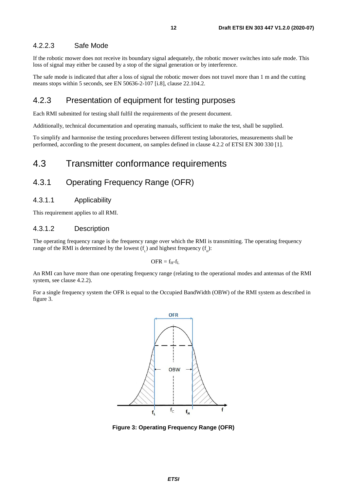### <span id="page-11-0"></span>4.2.2.3 Safe Mode

If the robotic mower does not receive its boundary signal adequately, the robotic mower switches into safe mode. This loss of signal may either be caused by a stop of the signal generation or by interference.

The safe mode is indicated that after a loss of signal the robotic mower does not travel more than 1 m and the cutting means stops within 5 seconds, see EN 50636-2-107 [\[i.8\]](#page-7-0), clause 22.104.2.

### 4.2.3 Presentation of equipment for testing purposes

Each RMI submitted for testing shall fulfil the requirements of the present document.

Additionally, technical documentation and operating manuals, sufficient to make the test, shall be supplied.

To simplify and harmonise the testing procedures between different testing laboratories, measurements shall be performed, according to the present document, on samples defined in clause 4.2.2 of ETSI EN 300 330 [[1](#page-6-0)].

## 4.3 Transmitter conformance requirements

## 4.3.1 Operating Frequency Range (OFR)

#### 4.3.1.1 Applicability

This requirement applies to all RMI.

#### 4.3.1.2 Description

The operating frequency range is the frequency range over which the RMI is transmitting. The operating frequency range of the RMI is determined by the lowest  $(f<sub>L</sub>)$  and highest frequency  $(f<sub>H</sub>)$ :

 $OFR = f_H - f_L$ 

An RMI can have more than one operating frequency range (relating to the operational modes and antennas of the RMI system, see clause 4.2.2).

For a single frequency system the OFR is equal to the Occupied BandWidth (OBW) of the RMI system as described in figure 3.



**Figure 3: Operating Frequency Range (OFR)**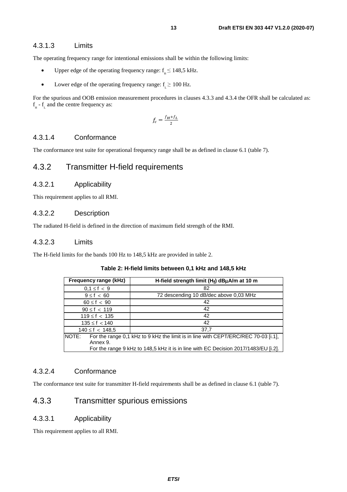### <span id="page-12-0"></span>4.3.1.3 Limits

The operating frequency range for intentional emissions shall be within the following limits:

- Upper edge of the operating frequency range:  $f_{\text{H}} \leq 148.5 \text{ kHz}$ .
- Lower edge of the operating frequency range:  $f \ge 100$  Hz.

For the spurious and OOB emission measurement procedures in clauses 4.3.3 and 4.3.4 the OFR shall be calculated as:  $f_{\text{H}}$  -  $f_{\text{L}}$  and the centre frequency as:

$$
f_c = \frac{f_H + f_L}{2}
$$

### 4.3.1.4 Conformance

The conformance test suite for operational frequency range shall be as defined in clause 6.1 (table 7).

## 4.3.2 Transmitter H-field requirements

#### 4.3.2.1 Applicability

This requirement applies to all RMI.

### 4.3.2.2 Description

The radiated H-field is defined in the direction of maximum field strength of the RMI.

### 4.3.2.3 Limits

The H-field limits for the bands 100 Hz to 148,5 kHz are provided in table 2.

#### **Table 2: H-field limits between 0,1 kHz and 148,5 kHz**

| Frequency range (kHz) | H-field strength limit $(H_f)$ dB $\mu$ A/m at 10 m                                 |  |
|-----------------------|-------------------------------------------------------------------------------------|--|
| $0.1 \le f < 9$       | 82                                                                                  |  |
| $9 \le f < 60$        | 72 descending 10 dB/dec above 0,03 MHz                                              |  |
| $60 \le f < 90$       | 42                                                                                  |  |
| $90 \le f < 119$      | 42                                                                                  |  |
| $119 \le f < 135$     | 42                                                                                  |  |
| $135 \le f < 140$     | 42                                                                                  |  |
| $140 \le f < 148.5$   | 37.7                                                                                |  |
| NOTE:                 | For the range 0,1 kHz to 9 kHz the limit is in line with CEPT/ERC/REC 70-03 [i.1],  |  |
| Annex 9.              |                                                                                     |  |
|                       | For the range 9 kHz to 148,5 kHz it is in line with EC Decision 2017/1483/EU [i.2]. |  |

### 4.3.2.4 Conformance

The conformance test suite for transmitter H-field requirements shall be as defined in clause 6.1 (table 7).

## 4.3.3 Transmitter spurious emissions

#### 4.3.3.1 Applicability

This requirement applies to all RMI.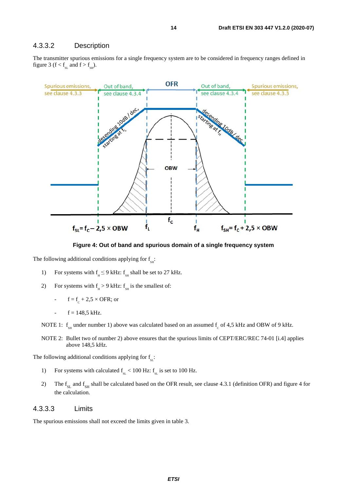#### <span id="page-13-0"></span>4.3.3.2 Description

The transmitter spurious emissions for a single frequency system are to be considered in frequency ranges defined in figure 3 ( $f < f<sub>SL</sub>$  and  $f > f<sub>SH</sub>$ ).



**Figure 4: Out of band and spurious domain of a single frequency system** 

The following additional conditions applying for  $f_{\text{sat}}$ :

- 1) For systems with  $f<sub>u</sub> \le 9$  kHz:  $f<sub>su</sub>$  shall be set to 27 kHz.
- 2) For systems with  $f_H > 9$  kHz:  $f_{SH}$  is the smallest of:
	- $f = f_c + 2.5 \times \text{OFR}$ ; or
	- $f = 148.5$  kHz.

NOTE 1:  $f_{\text{SH}}$  under number 1) above was calculated based on an assumed  $f_{\text{C}}$  of 4,5 kHz and OBW of 9 kHz.

NOTE 2: Bullet two of number 2) above ensures that the spurious limits of CEPT/ERC/REC 74-01 [[i.4\]](#page-7-0) applies above 148,5 kHz.

The following additional conditions applying for  $f<sub>st</sub>$ :

- 1) For systems with calculated  $f_{\rm SL} < 100$  Hz:  $f_{\rm SL}$  is set to 100 Hz.
- 2) The  $f_{\text{SL}}$  and  $f_{\text{SH}}$  shall be calculated based on the OFR result, see clause 4.3.1 (definition OFR) and figure 4 for the calculation.

#### 4.3.3.3 Limits

The spurious emissions shall not exceed the limits given in table 3.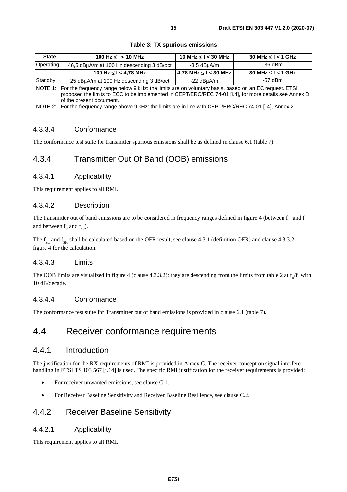<span id="page-14-0"></span>

| <b>State</b> | 100 Hz $\leq$ f $<$ 10 MHz                                                                                                                                                                                                                         | 10 MHz $\leq$ f $<$ 30 MHz | $30$ MHz $\leq$ f < 1 GHz |
|--------------|----------------------------------------------------------------------------------------------------------------------------------------------------------------------------------------------------------------------------------------------------|----------------------------|---------------------------|
| Operating    | 46,5 dBµA/m at 100 Hz descending 3 dB/oct                                                                                                                                                                                                          | $-3.5$ dB $\mu$ A/m        | $-36$ dBm                 |
|              | 100 Hz $\leq$ f < 4,78 MHz                                                                                                                                                                                                                         | 4,78 MHz $\leq$ f < 30 MHz | 30 MHz $\leq$ f $<$ 1 GHz |
| Standby      | 25 dBµA/m at 100 Hz descending 3 dB/oct                                                                                                                                                                                                            | $-22$ dBuA/m               | -57 dBm                   |
|              | NOTE 1: For the frequency range below 9 kHz: the limits are on voluntary basis, based on an EC request. ETSI<br>proposed the limits to ECC to be implemented in CEPT/ERC/REC 74-01 [i.4], for more details see Annex D<br>of the present document. |                            |                           |
|              | NOTE 2: For the frequency range above 9 kHz: the limits are in line with CEPT/ERC/REC 74-01 [i.4], Annex 2.                                                                                                                                        |                            |                           |

**Table 3: TX spurious emissions** 

### 4.3.3.4 Conformance

The conformance test suite for transmitter spurious emissions shall be as defined in clause 6.1 (table 7).

## 4.3.4 Transmitter Out Of Band (OOB) emissions

### 4.3.4.1 Applicability

This requirement applies to all RMI.

### 4.3.4.2 Description

The transmitter out of band emissions are to be considered in frequency ranges defined in figure 4 (between  $f<sub>cr</sub>$  and  $f<sub>cr</sub>$ and between  $f_{H}$  and  $f_{SH}$ ).

The  $f_{ST}$  and  $f_{ST}$  shall be calculated based on the OFR result, see clause 4.3.1 (definition OFR) and clause 4.3.3.2, figure 4 for the calculation.

### 4.3.4.3 Limits

The OOB limits are visualized in figure 4 (clause 4.3.3.2); they are descending from the limits from table 2 at  $f_H/f_L$  with 10 dB/decade.

### 4.3.4.4 Conformance

The conformance test suite for Transmitter out of band emissions is provided in clause 6.1 (table 7).

## 4.4 Receiver conformance requirements

### 4.4.1 Introduction

The justification for the RX-requirements of RMI is provided in Annex C. The receiver concept on signal interferer handling in ETSI TS 103 567 [[i.14\]](#page-7-0) is used. The specific RMI justification for the receiver requirements is provided:

- For receiver unwanted emissions, see clause C.1.
- For Receiver Baseline Sensitivity and Receiver Baseline Resilience, see clause C.2.

### 4.4.2 Receiver Baseline Sensitivity

### 4.4.2.1 Applicability

This requirement applies to all RMI.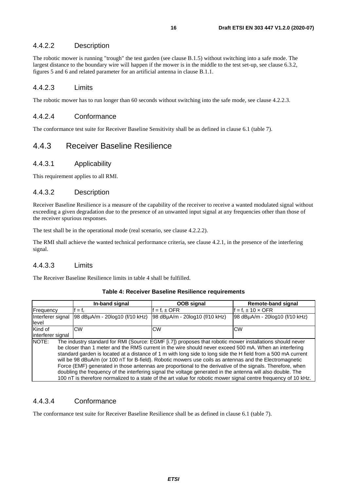### <span id="page-15-0"></span>4.4.2.2 Description

The robotic mower is running "trough" the test garden (see clause B.1.5) without switching into a safe mode. The largest distance to the boundary wire will happen if the mower is in the middle to the test set-up, see clause 6.3.2, figures 5 and 6 and related parameter for an artificial antenna in clause B.1.1.

#### 4.4.2.3 Limits

The robotic mower has to run longer than 60 seconds without switching into the safe mode, see clause 4.2.2.3.

#### 4.4.2.4 Conformance

The conformance test suite for Receiver Baseline Sensitivity shall be as defined in clause 6.1 (table 7).

### 4.4.3 Receiver Baseline Resilience

#### 4.4.3.1 Applicability

This requirement applies to all RMI.

#### 4.4.3.2 Description

Receiver Baseline Resilience is a measure of the capability of the receiver to receive a wanted modulated signal without exceeding a given degradation due to the presence of an unwanted input signal at any frequencies other than those of the receiver spurious responses.

The test shall be in the operational mode (real scenario, see clause 4.2.2.2).

The RMI shall achieve the wanted technical performance criteria, see clause 4.2.1, in the presence of the interfering signal.

### 4.4.3.3 Limits

The Receiver Baseline Resilience limits in table 4 shall be fulfilled.

|                                                                                                                    | In-band signal                                                                                         | OOB signal                     | <b>Remote-band signal</b>        |  |
|--------------------------------------------------------------------------------------------------------------------|--------------------------------------------------------------------------------------------------------|--------------------------------|----------------------------------|--|
| Frequency                                                                                                          | $= f_{c}$                                                                                              | $= f_{\circ} \pm \text{OFR}$   | $= f_0 \pm 10 \times \text{OFR}$ |  |
| Interferer signal                                                                                                  | 98 dBuA/m - 20log10 (f/10 kHz)                                                                         | 98 dBuA/m - 20log10 (f/10 kHz) | 98 dBµA/m - 20log10 (f/10 kHz)   |  |
| level                                                                                                              |                                                                                                        |                                |                                  |  |
| Kind of                                                                                                            | <b>CW</b>                                                                                              | <b>CW</b>                      | <b>CW</b>                        |  |
| interferer signal                                                                                                  |                                                                                                        |                                |                                  |  |
| NOTE:<br>The industry standard for RMI (Source: EGMF [i.7]) proposes that robotic mower installations should never |                                                                                                        |                                |                                  |  |
|                                                                                                                    | be closer than 1 meter and the RMS current in the wire should never exceed 500 mA. When an interfering |                                |                                  |  |

#### **Table 4: Receiver Baseline Resilience requirements**

NOTE: The industry standard for RMI (Source: EGMF [[i.7\]](#page-7-0)) proposes that robotic mower installations should never be closer than 1 meter and the RMS current in the wire should never exceed 500 mA. When an interfering standard garden is located at a distance of 1 m with long side to long side the H field from a 500 mA current will be 98 dBuA/m (or 100 nT for B-field). Robotic mowers use coils as antennas and the Electromagnetic Force (EMF) generated in those antennas are proportional to the derivative of the signals. Therefore, when doubling the frequency of the interfering signal the voltage generated in the antenna will also double. The 100 nT is therefore normalized to a state of the art value for robotic mower signal centre frequency of 10 kHz.

### 4.4.3.4 Conformance

The conformance test suite for Receiver Baseline Resilience shall be as defined in clause 6.1 (table 7).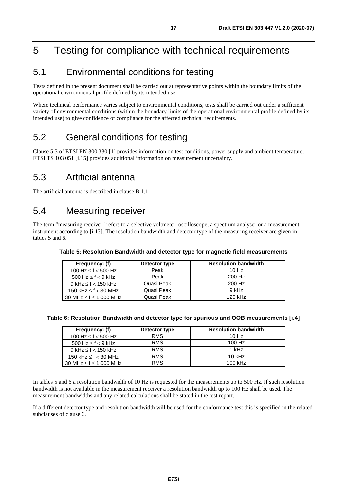## <span id="page-16-0"></span>5 Testing for compliance with technical requirements

## 5.1 Environmental conditions for testing

Tests defined in the present document shall be carried out at representative points within the boundary limits of the operational environmental profile defined by its intended use.

Where technical performance varies subject to environmental conditions, tests shall be carried out under a sufficient variety of environmental conditions (within the boundary limits of the operational environmental profile defined by its intended use) to give confidence of compliance for the affected technical requirements.

## 5.2 General conditions for testing

Clause 5.3 of ETSI EN 300 330 [[1](#page-6-0)] provides information on test conditions, power supply and ambient temperature. ETSI TS 103 051 [[i.15\]](#page-7-0) provides additional information on measurement uncertainty.

## 5.3 Artificial antenna

The artificial antenna is described in clause B.1.1.

## 5.4 Measuring receiver

The term "measuring receiver" refers to a selective voltmeter, oscilloscope, a spectrum analyser or a measurement instrument according to [\[i.13\]](#page-7-0). The resolution bandwidth and detector type of the measuring receiver are given in tables 5 and 6.

| Frequency: (f)                   | Detector type | <b>Resolution bandwidth</b> |
|----------------------------------|---------------|-----------------------------|
| 100 Hz $\leq$ f $<$ 500 Hz       | Peak          | 10Hz                        |
| 500 Hz $\leq$ f $<$ 9 kHz        | Peak          | 200 Hz                      |
| $9$ kHz $\leq$ f $<$ 150 kHz     | Quasi Peak    | 200 Hz                      |
| 150 kHz $\leq$ f $<$ 30 MHz      | Quasi Peak    | $9$ kHz                     |
| 30 MHz $\leq$ f $\leq$ 1 000 MHz | Quasi Peak    | 120 kHz                     |

**Table 5: Resolution Bandwidth and detector type for magnetic field measurements** 

#### **Table 6: Resolution Bandwidth and detector type for spurious and OOB measurements [[i.4\]](#page-7-0)**

| Frequency: (f)                   | Detector type | <b>Resolution bandwidth</b> |
|----------------------------------|---------------|-----------------------------|
| 100 Hz $\leq$ f $<$ 500 Hz       | <b>RMS</b>    | 10 Hz                       |
| 500 Hz $\leq$ f $<$ 9 kHz        | <b>RMS</b>    | $100$ Hz                    |
| 9 kHz $\leq$ f $<$ 150 kHz       | <b>RMS</b>    | $1$ kHz                     |
| 150 kHz $\leq$ f $<$ 30 MHz      | <b>RMS</b>    | 10 $kHz$                    |
| 30 MHz $\leq$ f $\leq$ 1 000 MHz | <b>RMS</b>    | 100 kHz                     |

In tables 5 and 6 a resolution bandwidth of 10 Hz is requested for the measurements up to 500 Hz. If such resolution bandwidth is not available in the measurement receiver a resolution bandwidth up to 100 Hz shall be used. The measurement bandwidths and any related calculations shall be stated in the test report.

If a different detector type and resolution bandwidth will be used for the conformance test this is specified in the related subclauses of clause 6.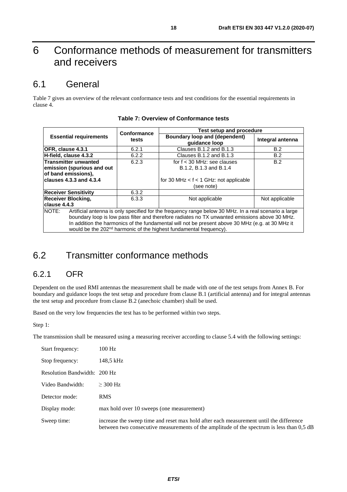## <span id="page-17-0"></span>6 Conformance methods of measurement for transmitters and receivers

## 6.1 General

Table 7 gives an overview of the relevant conformance tests and test conditions for the essential requirements in clause 4.

|                                                                                                                                                                                                                                                                                                                                                                                                                | Conformance | <b>Test setup and procedure</b>                                                                       |                  |  |
|----------------------------------------------------------------------------------------------------------------------------------------------------------------------------------------------------------------------------------------------------------------------------------------------------------------------------------------------------------------------------------------------------------------|-------------|-------------------------------------------------------------------------------------------------------|------------------|--|
| <b>Essential requirements</b>                                                                                                                                                                                                                                                                                                                                                                                  | tests       | Boundary loop and (dependent)<br>quidance loop                                                        | Integral antenna |  |
| OFR, clause 4.3.1                                                                                                                                                                                                                                                                                                                                                                                              | 6.2.1       | Clauses B.1.2 and B.1.3                                                                               | B.2              |  |
| $H$ -field, clause $4.3.2$                                                                                                                                                                                                                                                                                                                                                                                     | 6.2.2       | Clauses B.1.2 and B.1.3                                                                               | B.2              |  |
| Transmitter unwanted<br>emission (spurious and out<br>of band emissions),<br>clauses $4.3.3$ and $4.3.4$                                                                                                                                                                                                                                                                                                       | 6.2.3       | for $f < 30$ MHz: see clauses<br>B.1.2, B.1.3 and B.1.4<br>for 30 MHz $<$ f $<$ 1 GHz: not applicable | B.2              |  |
|                                                                                                                                                                                                                                                                                                                                                                                                                |             | (see note)                                                                                            |                  |  |
| <b>Receiver Sensitivity</b>                                                                                                                                                                                                                                                                                                                                                                                    | 6.3.2       |                                                                                                       |                  |  |
| <b>Receiver Blocking,</b><br>clause 4.4.3                                                                                                                                                                                                                                                                                                                                                                      | 6.3.3       | Not applicable                                                                                        | Not applicable   |  |
| <b>INOTE:</b><br>Artificial antenna is only specified for the frequency range below 30 MHz. In a real scenario a large<br>boundary loop is low pass filter and therefore radiates no TX unwanted emissions above 30 MHz.<br>In addition the harmonics of the fundamental will not be present above 30 MHz (e.g. at 30 MHz it<br>would be the 202 <sup>nd</sup> harmonic of the highest fundamental frequency). |             |                                                                                                       |                  |  |

#### **Table 7: Overview of Conformance tests**

## 6.2 Transmitter conformance methods

## 6.2.1 OFR

Dependent on the used RMI antennas the measurement shall be made with one of the test setups from Annex B. For boundary and guidance loops the test setup and procedure from clause B.1 (artificial antenna) and for integral antennas the test setup and procedure from clause B.2 (anechoic chamber) shall be used.

Based on the very low frequencies the test has to be performed within two steps.

Step 1:

The transmission shall be measured using a measuring receiver according to clause 5.4 with the following settings:

| Start frequency:             | $100$ Hz                                                                                                                                                                            |
|------------------------------|-------------------------------------------------------------------------------------------------------------------------------------------------------------------------------------|
| Stop frequency:              | 148,5 kHz                                                                                                                                                                           |
| Resolution Bandwidth: 200 Hz |                                                                                                                                                                                     |
| Video Bandwidth:             | $>$ 300 Hz                                                                                                                                                                          |
| Detector mode:               | <b>RMS</b>                                                                                                                                                                          |
| Display mode:                | max hold over 10 sweeps (one measurement)                                                                                                                                           |
| Sweep time:                  | increase the sweep time and reset max hold after each measurement until the difference<br>between two consecutive measurements of the amplitude of the spectrum is less than 0,5 dB |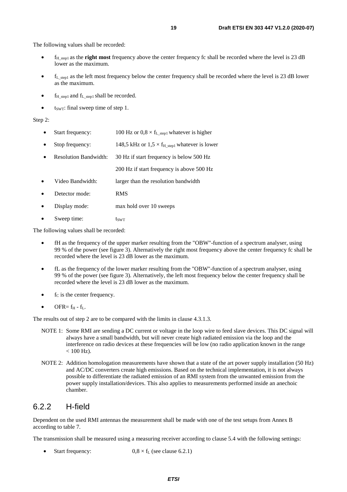<span id="page-18-0"></span>The following values shall be recorded:

- fH\_step1 as the **right most** frequency above the center frequency fc shall be recorded where the level is 23 dB lower as the maximum.
- $f_{\text{L}_{\text{step1}}}$  as the left most frequency below the center frequency shall be recorded where the level is 23 dB lower as the maximum.
- $f_{H \text{ step1}}$  and  $f_{L \text{ step1}}$  shall be recorded.
- $t_{\text{SWT}}$ : final sweep time of step 1.

#### Step 2:

- Start frequency:  $100 \text{ Hz or } 0.8 \times \text{f}_{\text{L step1}}$  whatever is higher
- Stop frequency: 148,5 kHz or  $1.5 \times f_{H_{\text{step1}}}$  whatever is lower
- Resolution Bandwidth: 30 Hz if start frequency is below 500 Hz
	- 200 Hz if start frequency is above 500 Hz
- Video Bandwidth: larger than the resolution bandwidth
- Detector mode: RMS
- Display mode: max hold over 10 sweeps
- Sweep time: t<sub>SWT</sub>

The following values shall be recorded:

- fH as the frequency of the upper marker resulting from the "OBW"-function of a spectrum analyser, using 99 % of the power (see figure 3). Alternatively the right most frequency above the center frequency fc shall be recorded where the level is 23 dB lower as the maximum.
- fL as the frequency of the lower marker resulting from the "OBW"-function of a spectrum analyser, using 99 % of the power (see figure 3). Alternatively, the left most frequency below the center frequency shall be recorded where the level is 23 dB lower as the maximum.
- $\bullet$  f<sub>C</sub> is the center frequency.
- $\bullet$  OFR=  $f_H f_L$ .

The results out of step 2 are to be compared with the limits in clause 4.3.1.3.

- NOTE 1: Some RMI are sending a DC current or voltage in the loop wire to feed slave devices. This DC signal will always have a small bandwidth, but will never create high radiated emission via the loop and the interference on radio devices at these frequencies will be low (no radio application known in the range  $< 100$  Hz).
- NOTE 2: Addition homologation measurements have shown that a state of the art power supply installation (50 Hz) and AC/DC converters create high emissions. Based on the technical implementation, it is not always possible to differentiate the radiated emission of an RMI system from the unwanted emission from the power supply installation/devices. This also applies to measurements performed inside an anechoic chamber.

### 6.2.2 H-field

Dependent on the used RMI antennas the measurement shall be made with one of the test setups from Annex B according to table 7.

The transmission shall be measured using a measuring receiver according to clause 5.4 with the following settings:

Start frequency:  $0.8 \times f_L$  (see clause 6.2.1)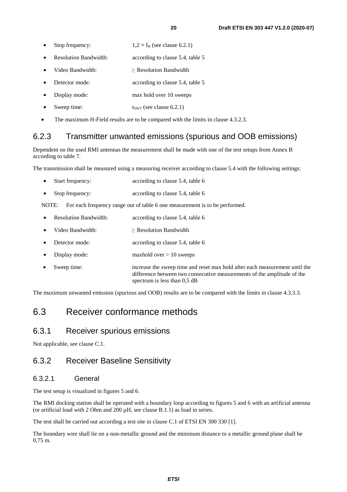- <span id="page-19-0"></span>• Stop frequency:  $1,2 \times f_H$  (see clause 6.2.1)
- Resolution Bandwidth: according to clause 5.4, table 5
- Video Bandwidth: > Resolution Bandwidth
- Detector mode: according to clause 5.4, table 5
- Display mode: max hold over 10 sweeps
- Sweep time:  $t_{SWT}$  (see clause 6.2.1)
- The maximum H-Field results are to be compared with the limits in clause 4.3.2.3.

## 6.2.3 Transmitter unwanted emissions (spurious and OOB emissions)

Dependent on the used RMI antennas the measurement shall be made with one of the test setups from Annex B according to table 7.

The transmission shall be measured using a measuring receiver according to clause 5.4 with the following settings:

| $\bullet$ | Start frequency: | according to clause 5.4, table 6 |
|-----------|------------------|----------------------------------|
| $\bullet$ | Stop frequency:  | according to clause 5.4, table 6 |

NOTE: For each frequency range out of table 6 one measurement is to be performed.

• Resolution Bandwidth: according to clause 5.4, table 6

- Video Bandwidth: ≥ Resolution Bandwidth
- Detector mode: according to clause 5.4, table 6
- Display mode: maxhold over > 10 sweeps
- Sweep time: increase the sweep time and reset max hold after each measurement until the difference between two consecutive measurements of the amplitude of the spectrum is less than 0,5 dB

The maximum unwanted emission (spurious and OOB) results are to be compared with the limits in clause 4.3.3.3.

## 6.3 Receiver conformance methods

## 6.3.1 Receiver spurious emissions

Not applicable, see clause C.1.

## 6.3.2 Receiver Baseline Sensitivity

#### 6.3.2.1 General

The test setup is visualized in figures 5 and 6.

The RMI docking station shall be operated with a boundary loop according to figures 5 and 6 with an artificial antenna (or artificial load with 2 Ohm and  $200 \mu$ H, see clause B.1.1) as load in series.

The test shall be carried out according a test site in clause C.1 of ETSI EN 300 330 [\[1](#page-6-0)].

The boundary wire shall lie on a non-metallic ground and the minimum distance to a metallic ground plane shall be 0,75 m.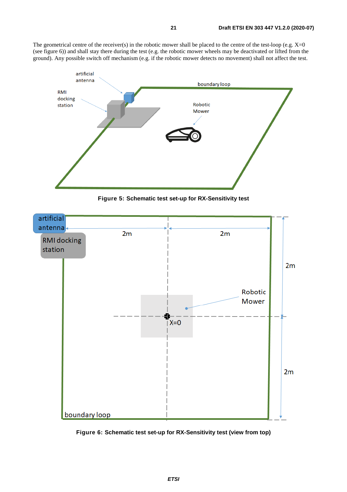The geometrical centre of the receiver(s) in the robotic mower shall be placed to the centre of the test-loop (e.g.  $X=0$ (see figure 6)) and shall stay there during the test (e.g. the robotic mower wheels may be deactivated or lifted from the ground). Any possible switch off mechanism (e.g. if the robotic mower detects no movement) shall not affect the test.



**Figure 5: Schematic test set-up for RX-Sensitivity test** 



**Figure 6: Schematic test set-up for RX-Sensitivity test (view from top)**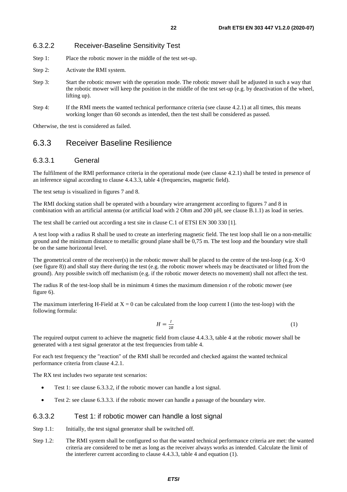- <span id="page-21-0"></span>Step 1: Place the robotic mower in the middle of the test set-up.
- Step 2: Activate the RMI system.
- Step 3: Start the robotic mower with the operation mode. The robotic mower shall be adjusted in such a way that the robotic mower will keep the position in the middle of the test set-up (e.g. by deactivation of the wheel, lifting up).
- Step 4: If the RMI meets the wanted technical performance criteria (see clause 4.2.1) at all times, this means working longer than 60 seconds as intended, then the test shall be considered as passed.

Otherwise, the test is considered as failed.

### 6.3.3 Receiver Baseline Resilience

#### 6.3.3.1 General

The fulfilment of the RMI performance criteria in the operational mode (see clause 4.2.1) shall be tested in presence of an inference signal according to clause 4.4.3.3, table 4 (frequencies, magnetic field).

The test setup is visualized in figures 7 and 8.

The RMI docking station shall be operated with a boundary wire arrangement according to figures 7 and 8 in combination with an artificial antenna (or artificial load with 2 Ohm and 200  $\mu$ H, see clause B.1.1) as load in series.

The test shall be carried out according a test site in clause C.1 of ETSI EN 300 330 [\[1](#page-6-0)].

A test loop with a radius R shall be used to create an interfering magnetic field. The test loop shall lie on a non-metallic ground and the minimum distance to metallic ground plane shall be 0,75 m. The test loop and the boundary wire shall be on the same horizontal level.

The geometrical centre of the receiver(s) in the robotic mower shall be placed to the centre of the test-loop (e.g.  $X=0$ (see figure 8)) and shall stay there during the test (e.g. the robotic mower wheels may be deactivated or lifted from the ground). Any possible switch off mechanism (e.g. if the robotic mower detects no movement) shall not affect the test.

The radius R of the test-loop shall be in minimum 4 times the maximum dimension r of the robotic mower (see figure 6).

The maximum interfering H-Field at  $X = 0$  can be calculated from the loop current I (into the test-loop) with the following formula:

$$
H = \frac{I}{2R} \tag{1}
$$

The required output current to achieve the magnetic field from clause 4.4.3.3, table 4 at the robotic mower shall be generated with a test signal generator at the test frequencies from table 4.

For each test frequency the "reaction" of the RMI shall be recorded and checked against the wanted technical performance criteria from clause 4.2.1.

The RX test includes two separate test scenarios:

- Test 1: see clause 6.3.3.2, if the robotic mower can handle a lost signal.
- Test 2: see clause 6.3.3.3. if the robotic mower can handle a passage of the boundary wire.

#### 6.3.3.2 Test 1: if robotic mower can handle a lost signal

- Step 1.1: Initially, the test signal generator shall be switched off.
- Step 1.2: The RMI system shall be configured so that the wanted technical performance criteria are met: the wanted criteria are considered to be met as long as the receiver always works as intended. Calculate the limit of the interferer current according to clause 4.4.3.3, table 4 and equation (1).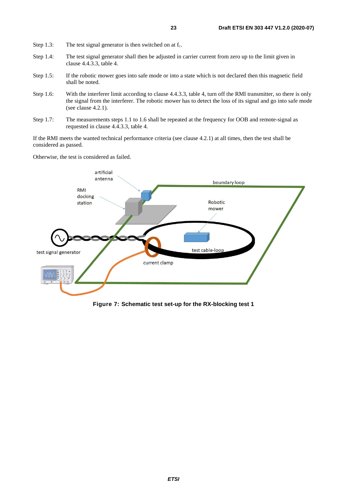- Step 1.3: The test signal generator is then switched on at  $f_c$ .
- Step 1.4: The test signal generator shall then be adjusted in carrier current from zero up to the limit given in clause 4.4.3.3, table 4.
- Step 1.5: If the robotic mower goes into safe mode or into a state which is not declared then this magnetic field shall be noted.
- Step 1.6: With the interferer limit according to clause 4.4.3.3, table 4, turn off the RMI transmitter, so there is only the signal from the interferer. The robotic mower has to detect the loss of its signal and go into safe mode (see clause 4.2.1).
- Step 1.7: The measurements steps 1.1 to 1.6 shall be repeated at the frequency for OOB and remote-signal as requested in clause 4.4.3.3, table 4.

If the RMI meets the wanted technical performance criteria (see clause 4.2.1) at all times, then the test shall be considered as passed.

Otherwise, the test is considered as failed.



**Figure 7: Schematic test set-up for the RX-blocking test 1**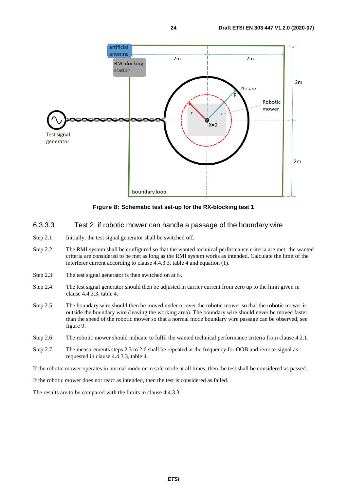<span id="page-23-0"></span>

**Figure 8: Schematic test set-up for the RX-blocking test 1** 

- 6.3.3.3 Test 2: if robotic mower can handle a passage of the boundary wire
- Step 2.1: Initially, the test signal generator shall be switched off.
- Step 2.2: The RMI system shall be configured so that the wanted technical performance criteria are met: the wanted criteria are considered to be met as long as the RMI system works as intended. Calculate the limit of the interferer current according to clause 4.4.3.3, table 4 and equation (1).
- Step 2.3: The test signal generator is then switched on at  $f_c$ .
- Step 2.4: The test signal generator should then be adjusted in carrier current from zero up to the limit given in clause 4.4.3.3, table 4.
- Step 2.5: The boundary wire should then be moved under or over the robotic mower so that the robotic mower is outside the boundary wire (leaving the working area). The boundary wire should never be moved faster than the speed of the robotic mower so that a normal mode boundary wire passage can be observed, see figure 9.
- Step 2.6: The robotic mower should indicate to fulfil the wanted technical performance criteria from clause 4.2.1.
- Step 2.7: The measurements steps 2.3 to 2.6 shall be repeated at the frequency for OOB and remote-signal as requested in clause 4.4.3.3, table 4.

If the robotic mower operates in normal mode or in safe mode at all times, then the test shall be considered as passed.

If the robotic mower does not react as intended, then the test is considered as failed.

The results are to be compared with the limits in clause 4.4.3.3.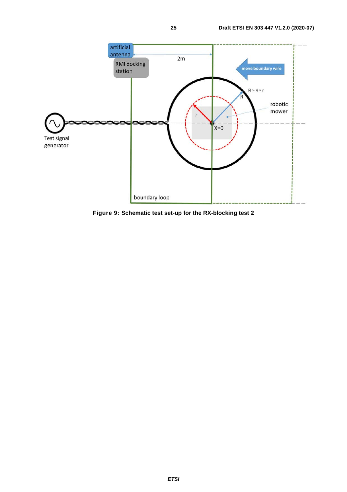

**Figure 9: Schematic test set-up for the RX-blocking test 2**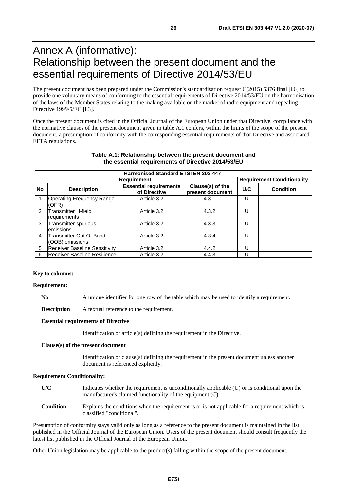## <span id="page-25-0"></span>Annex A (informative): Relationship between the present document and the essential requirements of Directive 2014/53/EU

The present document has been prepared under the Commission's standardisation request C(2015) 5376 final [\[i.6](#page-7-0)] to provide one voluntary means of conforming to the essential requirements of Directive 2014/53/EU on the harmonisation of the laws of the Member States relating to the making available on the market of radio equipment and repealing Directive 1999/5/EC [\[i.3\]](#page-7-0).

Once the present document is cited in the Official Journal of the European Union under that Directive, compliance with the normative clauses of the present document given in table A.1 confers, within the limits of the scope of the present document, a presumption of conformity with the corresponding essential requirements of that Directive and associated EFTA regulations.

|               | Harmonised Standard ETSI EN 303 447                     |                                               |                                      |     |                  |
|---------------|---------------------------------------------------------|-----------------------------------------------|--------------------------------------|-----|------------------|
|               | <b>Requirement Conditionality</b><br><b>Requirement</b> |                                               |                                      |     |                  |
| <b>No</b>     | <b>Description</b>                                      | <b>Essential requirements</b><br>of Directive | Clause(s) of the<br>present document | U/C | <b>Condition</b> |
|               | <b>Operating Frequency Range</b><br>(OFR)               | Article 3.2                                   | 4.3.1                                |     |                  |
| $\mathcal{P}$ | Transmitter H-field<br>requirements                     | Article 3.2                                   | 4.3.2                                | U   |                  |
| 3             | Transmitter spurious<br>emissions                       | Article 3.2                                   | 4.3.3                                | U   |                  |
| 4             | Transmitter Out Of Band<br>(OOB) emissions              | Article 3.2                                   | 4.3.4                                | U   |                  |
| 5             | <b>Receiver Baseline Sensitivity</b>                    | Article 3.2                                   | 4.4.2                                | U   |                  |
| 6             | Receiver Baseline Resilience                            | Article 3.2                                   | 4.4.3                                |     |                  |

#### **Table A.1: Relationship between the present document and the essential requirements of Directive 2014/53/EU**

#### **Key to columns:**

#### **Requirement:**

**No** A unique identifier for one row of the table which may be used to identify a requirement.

**Description** A textual reference to the requirement.

#### **Essential requirements of Directive**

Identification of article(s) defining the requirement in the Directive.

#### **Clause(s) of the present document**

 Identification of clause(s) defining the requirement in the present document unless another document is referenced explicitly.

#### **Requirement Conditionality:**

- **U/C** Indicates whether the requirement is unconditionally applicable (U) or is conditional upon the manufacturer's claimed functionality of the equipment (C).
- **Condition** Explains the conditions when the requirement is or is not applicable for a requirement which is classified "conditional".

Presumption of conformity stays valid only as long as a reference to the present document is maintained in the list published in the Official Journal of the European Union. Users of the present document should consult frequently the latest list published in the Official Journal of the European Union.

Other Union legislation may be applicable to the product(s) falling within the scope of the present document.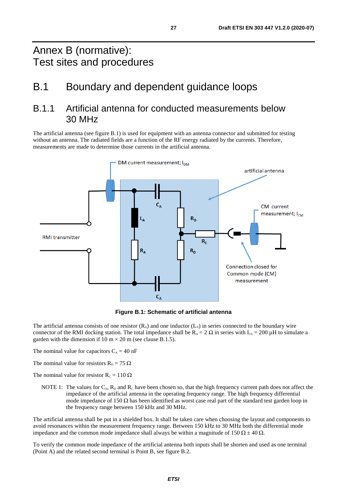## <span id="page-26-0"></span>Annex B (normative): Test sites and procedures

## B.1 Boundary and dependent guidance loops

## B.1.1 Artificial antenna for conducted measurements below 30 MHz

The artificial antenna (see figure B.1) is used for equipment with an antenna connector and submitted for testing without an antenna. The radiated fields are a function of the RF energy radiated by the currents. Therefore, measurements are made to determine those currents in the artificial antenna.



**Figure B.1: Schematic of artificial antenna** 

The artificial antenna consists of one resistor  $(R_A)$  and one inductor  $(L_A)$  in series connected to the boundary wire connector of the RMI docking station. The total impedance shall be  $R_A = 2 \Omega$  in series with  $L_A = 200 \mu H$  to simulate a garden with the dimension if  $10 \text{ m} \times 20 \text{ m}$  (see clause B.1.5).

The nominal value for capacitors  $C_A = 40$  nF

The nominal value for resistors  $R_D = 75 \Omega$ 

The nominal value for resistor  $R_c = 110 \Omega$ 

NOTE 1: The values for  $C_A$ ,  $R_D$  and  $R_C$  have been chosen so, that the high frequency current path does not affect the impedance of the artificial antenna in the operating frequency range. The high frequency differential mode impedance of 150 Ω has been identified as worst case real part of the standard test garden loop in the frequency range between 150 kHz and 30 MHz.

The artificial antenna shall be put in a shielded box. It shall be taken care when choosing the layout and components to avoid resonances within the measurement frequency range. Between 150 kHz to 30 MHz both the differential mode impedance and the common mode impedance shall always be within a magnitude of 150  $\Omega \pm 40 \Omega$ .

To verify the common mode impedance of the artificial antenna both inputs shall be shorten and used as one terminal (Point A) and the related second terminal is Point B, see figure B.2.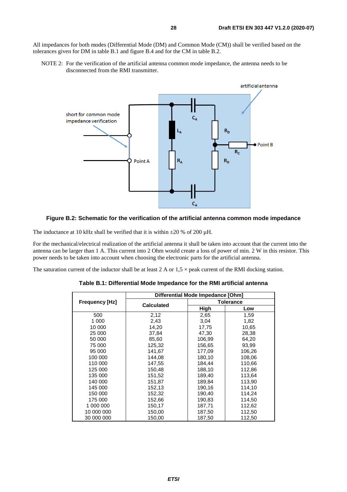All impedances for both modes (Differential Mode (DM) and Common Mode (CM)) shall be verified based on the tolerances given for DM in table B.1 and figure B.4 and for the CM in table B.2.

NOTE 2: For the verification of the artificial antenna common mode impedance, the antenna needs to be disconnected from the RMI transmitter.



#### **Figure B.2: Schematic for the verification of the artificial antenna common mode impedance**

The inductance at 10 kHz shall be verified that it is within  $\pm 20$  % of 200  $\mu$ H.

For the mechanical/electrical realization of the artificial antenna it shall be taken into account that the current into the antenna can be larger than 1 A. This current into 2 Ohm would create a loss of power of min. 2 W in this resistor. This power needs to be taken into account when choosing the electronic parts for the artificial antenna.

The saturation current of the inductor shall be at least  $2 \text{ A}$  or  $1.5 \times$  peak current of the RMI docking station.

|                       |                   | Differential Mode Impedance [Ohm] |        |  |  |
|-----------------------|-------------------|-----------------------------------|--------|--|--|
| <b>Frequency [Hz]</b> | <b>Calculated</b> | <b>Tolerance</b>                  |        |  |  |
|                       |                   | High                              | Low    |  |  |
| 500                   | 2,12              | 2,65                              | 1,59   |  |  |
| 1 000                 | 2,43              | 3,04                              | 1,82   |  |  |
| 10 000                | 14,20             | 17,75                             | 10,65  |  |  |
| 25 000                | 37.84             | 47,30                             | 28,38  |  |  |
| 50 000                | 85,60             | 106,99                            | 64,20  |  |  |
| 75 000                | 125,32            | 156,65                            | 93.99  |  |  |
| 95 000                | 141,67            | 177,09                            | 106,26 |  |  |
| 100 000               | 144.08            | 180.10                            | 108,06 |  |  |
| 110 000               | 147,55            | 184,44                            | 110,66 |  |  |
| 125 000               | 150,48            | 188,10                            | 112,86 |  |  |
| 135 000               | 151,52            | 189,40                            | 113,64 |  |  |
| 140 000               | 151.87            | 189,84                            | 113,90 |  |  |
| 145 000               | 152,13            | 190,16                            | 114,10 |  |  |
| 150 000               | 152,32            | 190,40                            | 114,24 |  |  |
| 175 000               | 152,66            | 190,83                            | 114,50 |  |  |
| 1 000 000             | 150,17            | 187,71                            | 112,62 |  |  |
| 10 000 000            | 150,00            | 187,50                            | 112,50 |  |  |
| 30 000 000            | 150,00            | 187,50                            | 112,50 |  |  |

**Table B.1: Differential Mode Impedance for the RMI artificial antenna**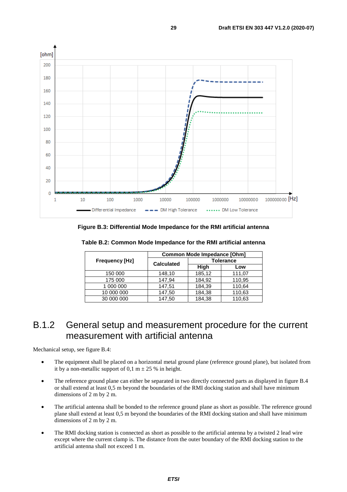<span id="page-28-0"></span>

**Figure B.3: Differential Mode Impedance for the RMI artificial antenna** 

|                       |                   | Common Mode Impedance [Ohm] |        |
|-----------------------|-------------------|-----------------------------|--------|
| <b>Frequency [Hz]</b> | <b>Calculated</b> | <b>Tolerance</b>            |        |
|                       |                   | High                        | Low    |
| 150 000               | 148,10            | 185,12                      | 111,07 |
| 175 000               | 147,94            | 184,92                      | 110,95 |
| 1 000 000             | 147,51            | 184,39                      | 110,64 |
| 10 000 000            | 147.50            | 184,38                      | 110,63 |
| 30 000 000            | 147,50            | 184,38                      | 110,63 |

**Table B.2: Common Mode Impedance for the RMI artificial antenna** 

## B.1.2 General setup and measurement procedure for the current measurement with artificial antenna

Mechanical setup, see figure B.4:

- The equipment shall be placed on a horizontal metal ground plane (reference ground plane), but isolated from it by a non-metallic support of 0,1 m  $\pm$  25 % in height.
- The reference ground plane can either be separated in two directly connected parts as displayed in figure B.4 or shall extend at least 0,5 m beyond the boundaries of the RMI docking station and shall have minimum dimensions of 2 m by 2 m.
- The artificial antenna shall be bonded to the reference ground plane as short as possible. The reference ground plane shall extend at least 0,5 m beyond the boundaries of the RMI docking station and shall have minimum dimensions of 2 m by 2 m.
- The RMI docking station is connected as short as possible to the artificial antenna by a twisted 2 lead wire except where the current clamp is. The distance from the outer boundary of the RMI docking station to the artificial antenna shall not exceed 1 m.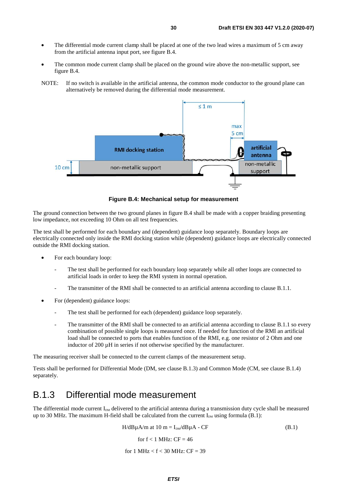- <span id="page-29-0"></span>The differential mode current clamp shall be placed at one of the two lead wires a maximum of 5 cm away from the artificial antenna input port, see figure B.4.
- The common mode current clamp shall be placed on the ground wire above the non-metallic support, see figure B.4.
- NOTE: If no switch is available in the artificial antenna, the common mode conductor to the ground plane can alternatively be removed during the differential mode measurement.



**Figure B.4: Mechanical setup for measurement** 

The ground connection between the two ground planes in figure B.4 shall be made with a copper braiding presenting low impedance, not exceeding 10 Ohm on all test frequencies.

The test shall be performed for each boundary and (dependent) guidance loop separately. Boundary loops are electrically connected only inside the RMI docking station while (dependent) guidance loops are electrically connected outside the RMI docking station.

- For each boundary loop:
	- The test shall be performed for each boundary loop separately while all other loops are connected to artificial loads in order to keep the RMI system in normal operation.
	- The transmitter of the RMI shall be connected to an artificial antenna according to clause B.1.1.
- For (dependent) guidance loops:
	- The test shall be performed for each (dependent) guidance loop separately.
	- The transmitter of the RMI shall be connected to an artificial antenna according to clause B.1.1 so every combination of possible single loops is measured once. If needed for function of the RMI an artificial load shall be connected to ports that enables function of the RMI, e.g. one resistor of 2 Ohm and one inductor of 200 uH in series if not otherwise specified by the manufacturer.

The measuring receiver shall be connected to the current clamps of the measurement setup.

Tests shall be performed for Differential Mode (DM, see clause B.1.3) and Common Mode (CM, see clause B.1.4) separately.

## B.1.3 Differential mode measurement

The differential mode current  $I_{DM}$  delivered to the artificial antenna during a transmission duty cycle shall be measured up to 30 MHz. The maximum H-field shall be calculated from the current  $I_{DM}$  using formula (B.1):

$$
H/dB\mu A/m \text{ at } 10 \text{ m} = I_{\text{DM}}/dB\mu A - CF \tag{B.1}
$$

for  $f < 1$  MHz:  $CF = 46$ 

for 1 MHz  $<$  f  $<$  30 MHz: CF = 39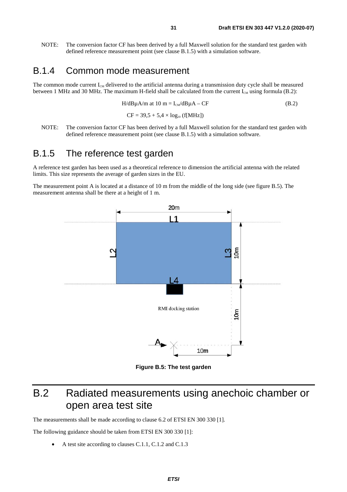<span id="page-30-0"></span>NOTE: The conversion factor CF has been derived by a full Maxwell solution for the standard test garden with defined reference measurement point (see clause B.1.5) with a simulation software.

## B.1.4 Common mode measurement

The common mode current  $I_{CM}$  delivered to the artificial antenna during a transmission duty cycle shall be measured between 1 MHz and 30 MHz. The maximum H-field shall be calculated from the current  $I_{CM}$  using formula (B.2):

$$
H/dB\mu A/m \text{ at } 10 \text{ m} = I_{\text{cm}}/dB\mu A - CF
$$
\n
$$
CF = 39.5 + 5.4 \times \log_{10} \text{ (f[MHz])}
$$
\n(B.2)

NOTE: The conversion factor CF has been derived by a full Maxwell solution for the standard test garden with defined reference measurement point (see clause B.1.5) with a simulation software.

## B.1.5 The reference test garden

A reference test garden has been used as a theoretical reference to dimension the artificial antenna with the related limits. This size represents the average of garden sizes in the EU.

The measurement point A is located at a distance of 10 m from the middle of the long side (see figure B.5). The measurement antenna shall be there at a height of 1 m.



**Figure B.5: The test garden** 

## B.2 Radiated measurements using anechoic chamber or open area test site

The measurements shall be made according to clause 6.2 of ETSI EN 300 330 [\[1](#page-6-0)].

The following guidance should be taken from ETSI EN 300 330 [\[1\]](#page-6-0):

• A test site according to clauses C.1.1, C.1.2 and C.1.3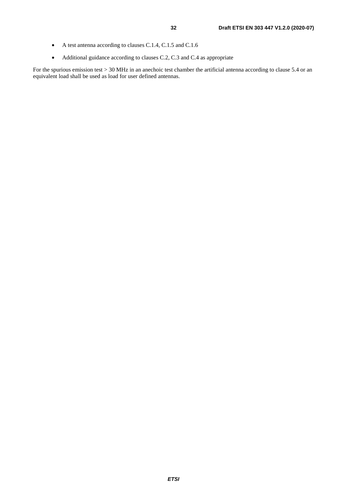- A test antenna according to clauses C.1.4, C.1.5 and C.1.6
- Additional guidance according to clauses C.2, C.3 and C.4 as appropriate

For the spurious emission test > 30 MHz in an anechoic test chamber the artificial antenna according to clause 5.4 or an equivalent load shall be used as load for user defined antennas.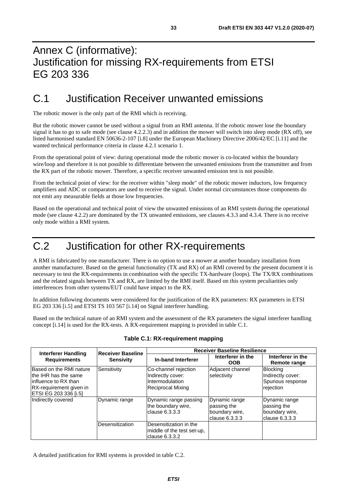## <span id="page-32-0"></span>Annex C (informative): Justification for missing RX-requirements from ETSI EG 203 336

## C.1 Justification Receiver unwanted emissions

The robotic mower is the only part of the RMI which is receiving.

But the robotic mower cannot be used without a signal from an RMI antenna. If the robotic mower lose the boundary signal it has to go to safe mode (see clause 4.2.2.3) and in addition the mower will switch into sleep mode (RX off), see listed harmonised standard EN 50636-2-107 [[i.8\]](#page-7-0) under the European Machinery Directive 2006/42/EC [\[i.11](#page-7-0)] and the wanted technical performance criteria in clause 4.2.1 scenario 1.

From the operational point of view: during operational mode the robotic mower is co-located within the boundary wire/loop and therefore it is not possible to differentiate between the unwanted emissions from the transmitter and from the RX part of the robotic mower. Therefore, a specific receiver unwanted emission test is not possible.

From the technical point of view: for the receiver within "sleep mode" of the robotic mower inductors, low frequency amplifiers and ADC or comparators are used to receive the signal. Under normal circumstances those components do not emit any measurable fields at those low frequencies.

Based on the operational and technical point of view the unwanted emissions of an RMI system during the operational mode (see clause 4.2.2) are dominated by the TX unwanted emissions, see clauses 4.3.3 and 4.3.4. There is no receive only mode within a RMI system.

## C.2 Justification for other RX-requirements

A RMI is fabricated by one manufacturer. There is no option to use a mower at another boundary installation from another manufacturer. Based on the general functionality (TX and RX) of an RMI covered by the present document it is necessary to test the RX-requirements in combination with the specific TX-hardware (loops). The TX/RX combinations and the related signals between TX and RX, are limited by the RMI itself. Based on this system peculiarities only interferences from other systems/EUT could have impact to the RX.

In addition following documents were considered for the justification of the RX parameters: RX parameters in ETSI EG 203 336 [[i.5](#page-7-0)] and ETSI TS 103 567 [[i.14](#page-7-0)] on Signal interferer handling.

Based on the technical nature of an RMI system and the assessment of the RX parameters the signal interferer handling concept [[i.14\]](#page-7-0) is used for the RX-tests. A RX-requirement mapping is provided in table C.1.

| <b>Interferer Handling</b>                                                                                                    | Receiver Baseline | <b>Receiver Baseline Resilience</b>                                               |                                                                  |                                                                        |
|-------------------------------------------------------------------------------------------------------------------------------|-------------------|-----------------------------------------------------------------------------------|------------------------------------------------------------------|------------------------------------------------------------------------|
| <b>Requirements</b><br><b>Sensivity</b>                                                                                       |                   | In-band Interferer                                                                | Interferer in the<br><b>OOB</b>                                  | Interferer in the<br>Remote range                                      |
| Based on the RMI nature<br>lthe IHR has the same<br>linfluence to RX than<br>RX-requirement given in<br>ETSI EG 203 336 [i.5] | Sensitivity       | Co-channel rejection<br>Indirectly cover:<br>Intermodulation<br>Reciprocal Mixing | Adjacent channel<br>selectivity                                  | <b>Blocking</b><br>Indirectly cover:<br>Spurious response<br>rejection |
| Indirectly covered                                                                                                            | Dynamic range     | Dynamic range passing<br>the boundary wire,<br>clause 6.3.3.3                     | Dynamic range<br>passing the<br>boundary wire,<br>clause 6.3.3.3 | Dynamic range<br>passing the<br>boundary wire,<br>$l$ clause 6.3.3.3   |
|                                                                                                                               | Desensitization   | Desensitization in the<br>middle of the test set-up,<br>clause 6.3.3.2            |                                                                  |                                                                        |

**Table C.1: RX-requirement mapping** 

A detailed justification for RMI systems is provided in table C.2.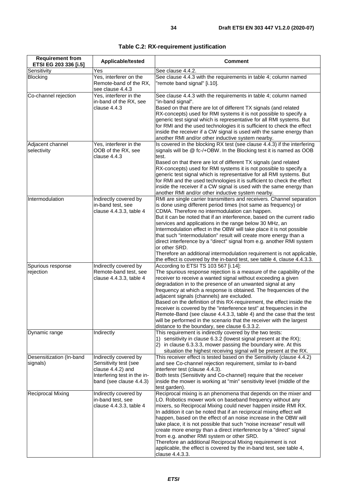| <b>Requirement from</b><br>ETSI EG 203 336 [i.5] | Applicable/tested                                                                                                             | <b>Comment</b>                                                                                                                                                                                                                                                                                                                                                                                                                                                                                                                                                                                                                                                                                                               |
|--------------------------------------------------|-------------------------------------------------------------------------------------------------------------------------------|------------------------------------------------------------------------------------------------------------------------------------------------------------------------------------------------------------------------------------------------------------------------------------------------------------------------------------------------------------------------------------------------------------------------------------------------------------------------------------------------------------------------------------------------------------------------------------------------------------------------------------------------------------------------------------------------------------------------------|
| Sensitivity                                      | Yes                                                                                                                           | See clause 4.4.2.                                                                                                                                                                                                                                                                                                                                                                                                                                                                                                                                                                                                                                                                                                            |
| <b>Blocking</b>                                  | Yes, interferer on the<br>Remote-band of the RX,<br>see clause 4.4.3                                                          | See clause 4.4.3 with the requirements in table 4; column named<br>"remote band signal" [i.10].                                                                                                                                                                                                                                                                                                                                                                                                                                                                                                                                                                                                                              |
| Co-channel rejection                             | Yes, interferer in the<br>in-band of the RX, see<br>clause 4.4.3                                                              | See clause 4.4.3 with the requirements in table 4; column named<br>"in-band signal".<br>Based on that there are lot of different TX signals (and related<br>RX-concepts) used for RMI systems it is not possible to specify a<br>generic test signal which is representative for all RMI systems. But<br>for RMI and the used technologies it is sufficient to check the effect<br>inside the receiver if a CW signal is used with the same energy than<br>another RMI and/or other inductive system nearby.                                                                                                                                                                                                                 |
| Adjacent channel<br>selectivity                  | Yes, interferer in the<br>OOB of the RX, see<br>clause 4.4.3                                                                  | Is covered in the blocking RX test (see clause 4.4.3) if the interfering<br>signals will be @ fc-/+OBW. In the Blocking test it is named as OOB<br>test.<br>Based on that there are lot of different TX signals (and related<br>RX-concepts) used for RMI systems it is not possible to specify a<br>generic test signal which is representative for all RMI systems. But<br>for RMI and the used technologies it is sufficient to check the effect<br>inside the receiver if a CW signal is used with the same energy than<br>another RMI and/or other inductive system nearby.                                                                                                                                             |
| Intermodulation                                  | Indirectly covered by<br>in-band test, see<br>clause 4.4.3.3, table 4                                                         | RMI are single carrier transmitters and receivers. Channel separation<br>is done using different period times (not same as frequency) or<br>CDMA. Therefore no intermodulation can happen.<br>But it can be noted that if an interference, based on the current radio<br>services and applications in the range below 30 MHz, an<br>Intermodulation effect in the OBW will take place it is not possible<br>that such "intermodulation" result will create more energy than a<br>direct interference by a "direct" signal from e.g. another RMI system<br>or other SRD.<br>Therefore an additional intermodulation requirement is not applicable,<br>the effect is covered by the in-band test, see table 4, clause 4.4.3.3. |
| Spurious response<br>rejection                   | Indirectly covered by<br>Remote-band test, see<br>clause 4.4.3.3, table 4                                                     | According to ETSI TS 103 567 [i.14]:<br>The spurious response rejection is a measure of the capability of the<br>receiver to receive a wanted signal without exceeding a given<br>degradation in to the presence of an unwanted signal at any<br>frequency at which a response is obtained. The frequencies of the<br>adjacent signals (channels) are excluded.<br>Based on the definition of this RX-requirement, the effect inside the<br>receiver is covered by the "interference test" at frequencies in the<br>Remote-Band (see clause 4.4.3.3, table 4) and the case that the test<br>will be performed in the scenario that the receiver with the largest<br>distance to the boundary, see clause 6.3.3.2.            |
| Dynamic range                                    | Indirectly                                                                                                                    | This requirement is indirectly covered by the two tests:<br>1) sensitivity in clause 6.3.2 (lowest signal present at the RX);<br>2) in clause 6.3.3.3, mower passing the boundary wire. At this<br>situation the highest receiving signal will be present at the RX.                                                                                                                                                                                                                                                                                                                                                                                                                                                         |
| Desensitization (In-band<br>signals)             | Indirectly covered by<br>Sensitivity test (see<br>clause 4.4.2) and<br>Interfering test in the in-<br>band (see clause 4.4.3) | This receiver effect is tested based on the Sensitivity (clause 4.4.2)<br>and see Co-channel rejection requirement, similar to in-band<br>interferer test (clause 4.4.3).<br>Both tests (Sensitivity and Co-channel) require that the receiver<br>inside the mower is working at "min" sensitivity level (middle of the<br>test garden).                                                                                                                                                                                                                                                                                                                                                                                     |
| Reciprocal Mixing                                | Indirectly covered by<br>in-band test, see<br>clause 4.4.3.3, table 4                                                         | Reciprocal mixing is an phenomena that depends on the mixer and<br>LO. Robotics mower work on baseband frequency without any<br>mixers, so Reciprocal Mixing could never happen inside RMI RX.<br>In addition it can be noted that if an reciprocal mixing effect will<br>happen, based on the effect of an noise increase in the OBW will<br>take place, it is not possible that such "noise increase" result will<br>create more energy than a direct interference by a "direct" signal<br>from e.g. another RMI system or other SRD.<br>Therefore an additional Reciprocal Mixing requirement is not<br>applicable, the effect is covered by the in-band test, see table 4,<br>clause 4.4.3.3.                            |

**Table C.2: RX-requirement justification**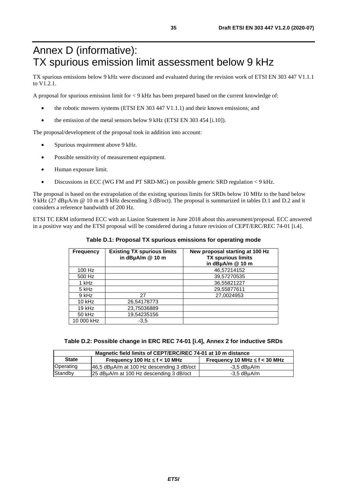## <span id="page-34-0"></span>Annex D (informative): TX spurious emission limit assessment below 9 kHz

TX spurious emissions below 9 kHz were discussed and evaluated during the revision work of ETSI EN 303 447 V1.1.1 to V1.2.1.

A proposal for spurious emission limit for < 9 kHz has been prepared based on the current knowledge of:

- the robotic mowers systems (ETSI EN 303 447 V1.1.1) and their known emissions; and
- the emission of the metal sensors below 9 kHz (ETSI EN 303 454 [\[i.10](#page-7-0)]).

The proposal/development of the proposal took in addition into account:

- Spurious requirement above 9 kHz.
- Possible sensitivity of measurement equipment.
- Human exposure limit.
- Discussions in ECC (WG FM and PT SRD-MG) on possible generic SRD regulation < 9 kHz.

The proposal is based on the extrapolation of the existing spurious limits for SRDs below 10 MHz to the band below 9 kHz (27 dBµA/m @ 10 m at 9 kHz descending 3 dB/oct). The proposal is summarized in tables D.1 and D.2 and it considers a reference bandwidth of 200 Hz.

ETSI TC ERM informend ECC with an Liasion Statement in June 2018 about this assessment/proposal. ECC answered in a positive way and the ETSI proposal will be considered during a future revision of CEPT/ERC/REC 74-01 [\[i.4](#page-7-0)].

| <b>Frequency</b> | <b>Existing TX spurious limits</b><br>in dBµA/m @ 10 m | New proposal starting at 100 Hz<br><b>TX spurious limits</b><br>in dBµA/m @ 10 m |
|------------------|--------------------------------------------------------|----------------------------------------------------------------------------------|
| 100 Hz           |                                                        | 46,57214152                                                                      |
| 500 Hz           |                                                        | 39,57270535                                                                      |
| 1 kHz            |                                                        | 36.55821227                                                                      |
| 5 kHz            |                                                        | 29,55877611                                                                      |
| 9 kHz            | 27                                                     | 27.0024953                                                                       |
| $10$ kHz         | 26,54178773                                            |                                                                                  |
| $19$ kHz         | 23,75036889                                            |                                                                                  |
| 50 kHz           | 19,54235156                                            |                                                                                  |
| 10 000 kHz       | $-3.5$                                                 |                                                                                  |

#### **Table D.1: Proposal TX spurious emissions for operating mode**

**Table D.2: Possible change in ERC REC 74-01 [[i.4](#page-7-0)], Annex 2 for inductive SRDs** 

| Magnetic field limits of CEPT/ERC/REC 74-01 at 10 m distance                             |                                           |             |  |
|------------------------------------------------------------------------------------------|-------------------------------------------|-------------|--|
| <b>State</b><br>Frequency 10 MHz $\leq$ f < 30 MHz<br>Frequency 100 Hz $\leq$ f < 10 MHz |                                           |             |  |
| Operating                                                                                | 46.5 dBuA/m at 100 Hz descending 3 dB/oct | -3,5 dBuA/m |  |
| Standby<br>25 dBµA/m at 100 Hz descending 3 dB/oct                                       |                                           | -3,5 dBuA/m |  |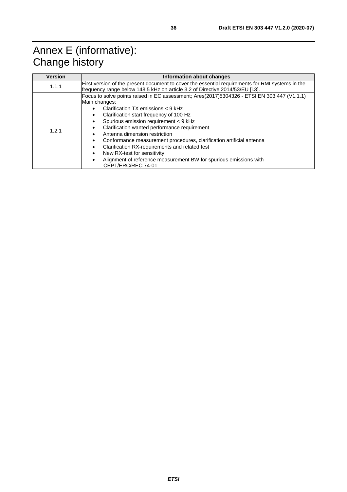<span id="page-35-0"></span>

| <b>Version</b> | Information about changes                                                                                                                                                                                                                                                                                                                                                                                                                                                                                                                                                                                                                                       |  |  |  |
|----------------|-----------------------------------------------------------------------------------------------------------------------------------------------------------------------------------------------------------------------------------------------------------------------------------------------------------------------------------------------------------------------------------------------------------------------------------------------------------------------------------------------------------------------------------------------------------------------------------------------------------------------------------------------------------------|--|--|--|
| 1.1.1          | First version of the present document to cover the essential requirements for RMI systems in the<br>frequency range below 148,5 kHz on article 3.2 of Directive 2014/53/EU [i.3].                                                                                                                                                                                                                                                                                                                                                                                                                                                                               |  |  |  |
| 1.2.1          | Focus to solve points raised in EC assessment; Ares(2017)5304326 - ETSI EN 303 447 (V1.1.1)<br>Main changes:<br>Clarification $TX$ emissions $<$ 9 kHz<br>$\bullet$<br>Clarification start frequency of 100 Hz<br>٠<br>Spurious emission requirement < 9 kHz<br>Clarification wanted performance requirement<br>$\bullet$<br>Antenna dimension restriction<br>$\bullet$<br>Conformance measurement procedures, clarification artificial antenna<br>٠<br>Clarification RX-requirements and related test<br>٠<br>New RX-test for sensitivity<br>$\bullet$<br>Alignment of reference measurement BW for spurious emissions with<br>$\bullet$<br>CEPT/ERC/REC 74-01 |  |  |  |